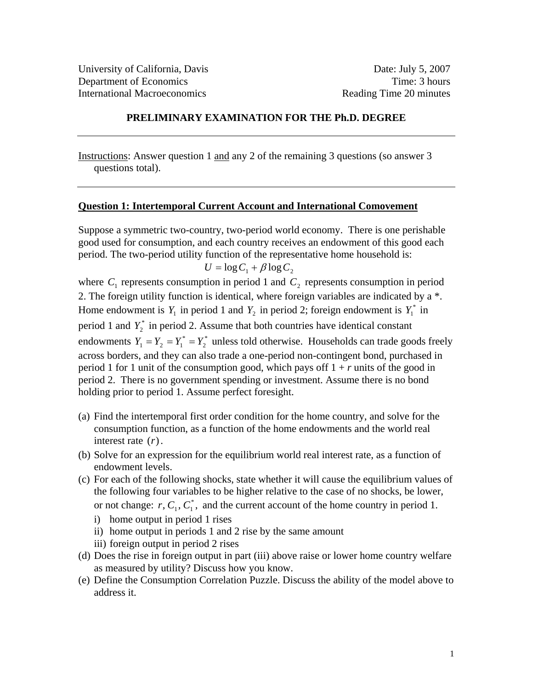#### **PRELIMINARY EXAMINATION FOR THE Ph.D. DEGREE**

Instructions: Answer question 1 and any 2 of the remaining 3 questions (so answer 3 questions total).

#### **Question 1: Intertemporal Current Account and International Comovement**

Suppose a symmetric two-country, two-period world economy. There is one perishable good used for consumption, and each country receives an endowment of this good each period. The two-period utility function of the representative home household is:  $U = \log C_1 + \beta \log C_2$ 

$$
U = \log C_1 + \beta \log C_2
$$

where  $C_1$  represents consumption in period 1 and  $C_2$  represents consumption in period 2. The foreign utility function is identical, where foreign variables are indicated by a \*. Home endowment is  $Y_1$  in period 1 and  $Y_2$  in period 2; foreign endowment is  $Y_1^*$  in period 1 and  $Y_2^*$  in period 2. Assume that both countries have identical constant endowments  $Y_1 = Y_2 = Y_1^* = Y_2^*$  unless told otherwise. Households can trade goods freely across borders, and they can also trade a one-period non-contingent bond, purchased in period 1 for 1 unit of the consumption good, which pays of  $1 + r$  units of the good in period 2. There is no government spending or investment. Assume there is no bond holding prior to period 1. Assume perfect foresight.

- (a) Find the intertemporal first order condition for the home country, and solve for the consumption function, as a function of the home endowments and the world real interest rate (*r*).
- (b) Solve for an expression for the equilibrium world real interest rate, as a function of endowment levels.
- (c) For each of the following shocks, state whether it will cause the equilibrium values of the following four variables to be higher relative to the case of no shocks, be lower, or not change:  $r, C_1, C_1^*$ , and the current account of the home country in period 1.
	- i) home output in period 1 rises
	- ii) home output in periods 1 and 2 rise by the same amount
	- iii) foreign output in period 2 rises
- (d) Does the rise in foreign output in part (iii) above raise or lower home country welfare as measured by utility? Discuss how you know.
- (e) Define the Consumption Correlation Puzzle. Discuss the ability of the model above to address it.